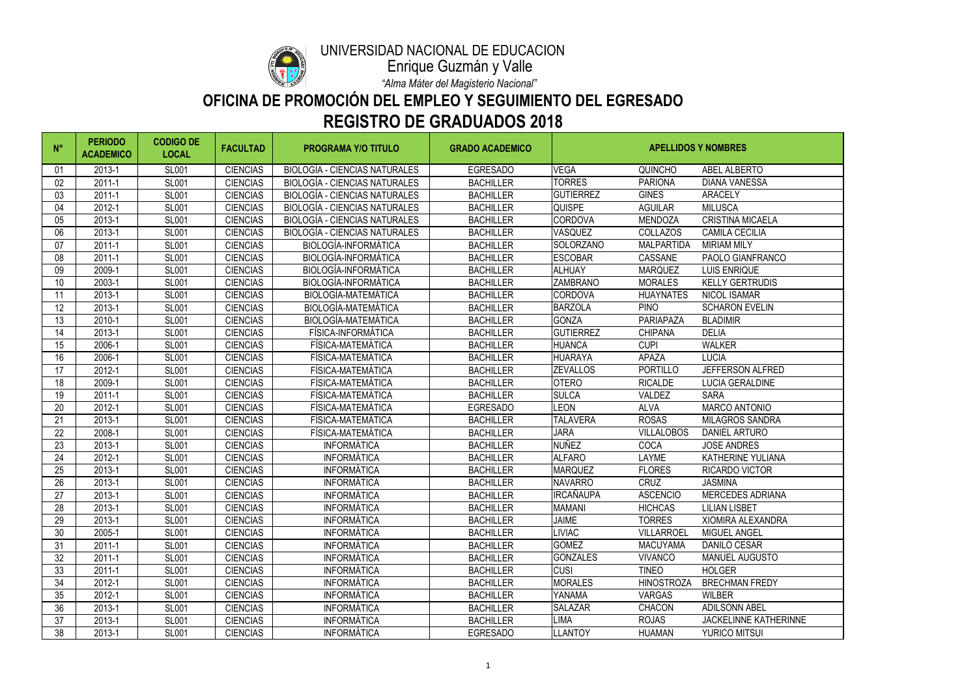| $N^{\circ}$ | <b>PERIODO</b><br><b>ACADEMICO</b> | <b>CODIGO DE</b><br><b>LOCAL</b> | <b>FACULTAD</b> | <b>PROGRAMA Y/O TITULO</b>           | <b>GRADO ACADEMICO</b> | <b>APELLIDOS Y NOMBRES</b> |                   |                              |
|-------------|------------------------------------|----------------------------------|-----------------|--------------------------------------|------------------------|----------------------------|-------------------|------------------------------|
| 01          | 2013-1                             | <b>SL001</b>                     | <b>CIENCIAS</b> | <b>BIOLOGÍA - CIENCIAS NATURALES</b> | <b>EGRESADO</b>        | <b>VEGA</b>                | <b>QUINCHO</b>    | ABEL ALBERTO                 |
| 02          | $2011 - 1$                         | <b>SL001</b>                     | <b>CIENCIAS</b> | <b>BIOLOGÍA - CIENCIAS NATURALES</b> | <b>BACHILLER</b>       | <b>TORRES</b>              | <b>PARIONA</b>    | <b>DIANA VANESSA</b>         |
| 03          | $2011 - 1$                         | <b>SL001</b>                     | <b>CIENCIAS</b> | <b>BIOLOGÍA - CIENCIAS NATURALES</b> | <b>BACHILLER</b>       | <b>GUTIERREZ</b>           | <b>GINES</b>      | <b>ARACELY</b>               |
| 04          | 2012-1                             | <b>SL001</b>                     | <b>CIENCIAS</b> | <b>BIOLOGÍA - CIENCIAS NATURALES</b> | <b>BACHILLER</b>       | <b>QUISPE</b>              | <b>AGUILAR</b>    | <b>MILUSCA</b>               |
| 05          | 2013-1                             | <b>SL001</b>                     | <b>CIENCIAS</b> | <b>BIOLOGÍA - CIENCIAS NATURALES</b> | <b>BACHILLER</b>       | <b>CORDOVA</b>             | <b>MENDOZA</b>    | <b>CRISTINA MICAELA</b>      |
| 06          | 2013-1                             | <b>SL001</b>                     | <b>CIENCIAS</b> | <b>BIOLOGÍA - CIENCIAS NATURALES</b> | <b>BACHILLER</b>       | <b>VASQUEZ</b>             | <b>COLLAZOS</b>   | <b>CAMILA CECILIA</b>        |
| 07          | 2011-1                             | <b>SL001</b>                     | <b>CIENCIAS</b> | <b>BIOLOGÍA-INFORMÁTICA</b>          | <b>BACHILLER</b>       | SOLORZANO                  | <b>MALPARTIDA</b> | <b>MIRIAM MILY</b>           |
| 08          | 2011-1                             | <b>SL001</b>                     | <b>CIENCIAS</b> | BIOLOGÍA-INFORMÁTICA                 | <b>BACHILLER</b>       | <b>ESCOBAR</b>             | CASSANE           | PAOLO GIANFRANCO             |
| 09          | 2009-1                             | <b>SL001</b>                     | <b>CIENCIAS</b> | BIOLOGÍA-INFORMÁTICA                 | <b>BACHILLER</b>       | <b>ALHUAY</b>              | <b>MARQUEZ</b>    | <b>LUIS ENRIQUE</b>          |
| 10          | 2003-1                             | <b>SL001</b>                     | <b>CIENCIAS</b> | <b>BIOLOGÍA-INFORMÁTICA</b>          | <b>BACHILLER</b>       | <b>ZAMBRANO</b>            | <b>MORALES</b>    | <b>KELLY GERTRUDIS</b>       |
| 11          | 2013-1                             | <b>SL001</b>                     | <b>CIENCIAS</b> | BIOLOGÍA-MATEMÁTICA                  | <b>BACHILLER</b>       | <b>CORDOVA</b>             | <b>HUAYNATES</b>  | <b>NICOL ISAMAR</b>          |
| 12          | 2013-1                             | <b>SL001</b>                     | <b>CIENCIAS</b> | BIOLOGÍA-MATEMÁTICA                  | <b>BACHILLER</b>       | <b>BARZOLA</b>             | <b>PINO</b>       | <b>SCHARON EVELIN</b>        |
| 13          | 2010-1                             | <b>SL001</b>                     | <b>CIENCIAS</b> | BIOLOGÍA-MATEMÁTICA                  | <b>BACHILLER</b>       | <b>GONZA</b>               | PARIAPAZA         | <b>BLADIMIR</b>              |
| 14          | 2013-1                             | <b>SL001</b>                     | <b>CIENCIAS</b> | FÍSICA-INFORMÁTICA                   | <b>BACHILLER</b>       | <b>GUTIERREZ</b>           | <b>CHIPANA</b>    | <b>DELIA</b>                 |
| 15          | 2006-1                             | <b>SL001</b>                     | <b>CIENCIAS</b> | FÍSICA-MATEMÁTICA                    | <b>BACHILLER</b>       | <b>HUANCA</b>              | <b>CUPI</b>       | <b>WALKER</b>                |
| 16          | 2006-1                             | <b>SL001</b>                     | <b>CIENCIAS</b> | FÍSICA-MATEMÁTICA                    | <b>BACHILLER</b>       | <b>HUARAYA</b>             | <b>APAZA</b>      | <b>LUCIA</b>                 |
| 17          | 2012-1                             | <b>SL001</b>                     | <b>CIENCIAS</b> | FÍSICA-MATEMÁTICA                    | <b>BACHILLER</b>       | <b>ZEVALLOS</b>            | <b>PORTILLO</b>   | JEFFERSON ALFRED             |
| 18          | 2009-1                             | <b>SL001</b>                     | <b>CIENCIAS</b> | FÍSICA-MATEMÁTICA                    | <b>BACHILLER</b>       | <b>OTERO</b>               | <b>RICALDE</b>    | <b>LUCIA GERALDINE</b>       |
| 19          | 2011-1                             | <b>SL001</b>                     | <b>CIENCIAS</b> | FÍSICA-MATEMÁTICA                    | <b>BACHILLER</b>       | <b>SULCA</b>               | <b>VALDEZ</b>     | <b>SARA</b>                  |
| 20          | 2012-1                             | <b>SL001</b>                     | <b>CIENCIAS</b> | FÍSICA-MATEMÁTICA                    | <b>EGRESADO</b>        | <b>LEON</b>                | <b>ALVA</b>       | <b>MARCO ANTONIO</b>         |
| 21          | 2013-1                             | <b>SL001</b>                     | <b>CIENCIAS</b> | FÍSICA-MATEMÁTICA                    | <b>BACHILLER</b>       | <b>TALAVERA</b>            | <b>ROSAS</b>      | <b>MILAGROS SANDRA</b>       |
| 22          | 2008-1                             | <b>SL001</b>                     | <b>CIENCIAS</b> | FÍSICA-MATEMÁTICA                    | <b>BACHILLER</b>       | <b>JARA</b>                | <b>VILLALOBOS</b> | <b>DANIEL ARTURO</b>         |
| 23          | 2013-1                             | <b>SL001</b>                     | <b>CIENCIAS</b> | <b>INFORMÁTICA</b>                   | <b>BACHILLER</b>       | <b>NUÑEZ</b>               | <b>COCA</b>       | <b>JOSE ANDRES</b>           |
| 24          | 2012-1                             | <b>SL001</b>                     | <b>CIENCIAS</b> | <b>INFORMÁTICA</b>                   | <b>BACHILLER</b>       | <b>ALFARO</b>              | <b>LAYME</b>      | <b>KATHERINE YULIANA</b>     |
| 25          | 2013-1                             | <b>SL001</b>                     | <b>CIENCIAS</b> | <b>INFORMÁTICA</b>                   | <b>BACHILLER</b>       | <b>MARQUEZ</b>             | <b>FLORES</b>     | <b>RICARDO VICTOR</b>        |
| 26          | 2013-1                             | <b>SL001</b>                     | <b>CIENCIAS</b> | <b>INFORMÁTICA</b>                   | <b>BACHILLER</b>       | <b>NAVARRO</b>             | <b>CRUZ</b>       | <b>JASMINA</b>               |
| 27          | 2013-1                             | <b>SL001</b>                     | <b>CIENCIAS</b> | <b>INFORMÁTICA</b>                   | <b>BACHILLER</b>       | <b>IRCAÑAUPA</b>           | <b>ASCENCIO</b>   | <b>MERCEDES ADRIANA</b>      |
| 28          | 2013-1                             | <b>SL001</b>                     | <b>CIENCIAS</b> | <b>INFORMÁTICA</b>                   | <b>BACHILLER</b>       | <b>MAMANI</b>              | <b>HICHCAS</b>    | <b>LILIAN LISBET</b>         |
| 29          | 2013-1                             | <b>SL001</b>                     | <b>CIENCIAS</b> | <b>INFORMÁTICA</b>                   | <b>BACHILLER</b>       | <b>JAIME</b>               | <b>TORRES</b>     | <b>XIOMIRA ALEXANDRA</b>     |
| 30          | 2005-1                             | <b>SL001</b>                     | <b>CIENCIAS</b> | <b>INFORMÁTICA</b>                   | <b>BACHILLER</b>       | <b>LIVIAC</b>              | <b>VILLARROEL</b> | <b>MIGUEL ANGEL</b>          |
| 31          | 2011-1                             | <b>SL001</b>                     | <b>CIENCIAS</b> | <b>INFORMÁTICA</b>                   | <b>BACHILLER</b>       | <b>GOMEZ</b>               | <b>MACUYAMA</b>   | <b>DANILO CESAR</b>          |
| 32          | 2011-1                             | <b>SL001</b>                     | <b>CIENCIAS</b> | <b>INFORMÁTICA</b>                   | <b>BACHILLER</b>       | <b>GONZALES</b>            | <b>VIVANCO</b>    | <b>MANUEL AUGUSTO</b>        |
| 33          | 2011-1                             | <b>SL001</b>                     | <b>CIENCIAS</b> | <b>INFORMÁTICA</b>                   | <b>BACHILLER</b>       | <b>CUSI</b>                | <b>TINEO</b>      | <b>HOLGER</b>                |
| 34          | 2012-1                             | <b>SL001</b>                     | <b>CIENCIAS</b> | <b>INFORMÁTICA</b>                   | <b>BACHILLER</b>       | <b>MORALES</b>             | <b>HINOSTROZA</b> | <b>BRECHMAN FREDY</b>        |
| 35          | 2012-1                             | <b>SL001</b>                     | <b>CIENCIAS</b> | <b>INFORMÁTICA</b>                   | <b>BACHILLER</b>       | YANAMA                     | <b>VARGAS</b>     | <b>WILBER</b>                |
| 36          | 2013-1                             | <b>SL001</b>                     | <b>CIENCIAS</b> | <b>INFORMÁTICA</b>                   | <b>BACHILLER</b>       | <b>SALAZAR</b>             | <b>CHACON</b>     | <b>ADILSONN ABEL</b>         |
| 37          | 2013-1                             | <b>SL001</b>                     | <b>CIENCIAS</b> | <b>INFORMÁTICA</b>                   | <b>BACHILLER</b>       | <b>LIMA</b>                | <b>ROJAS</b>      | <b>JACKELINNE KATHERINNE</b> |
| 38          | 2013-1                             | <b>SL001</b>                     | <b>CIENCIAS</b> | <b>INFORMÁTICA</b>                   | <b>EGRESADO</b>        | <b>LLANTOY</b>             | <b>HUAMAN</b>     | <b>YURICO MITSUI</b>         |



#### UNIVERSIDAD NACIONAL DE EDUCACIÓN

# **OFICINA DE PROMOCIÓN DEL EMPLEO Y SEGUIMIENTO DEL EGRESADO REGISTRO DE GRADUADOS 2018**

*"Alma Máter del Magisterio Nacional"*

Enrique Guzmán y Valle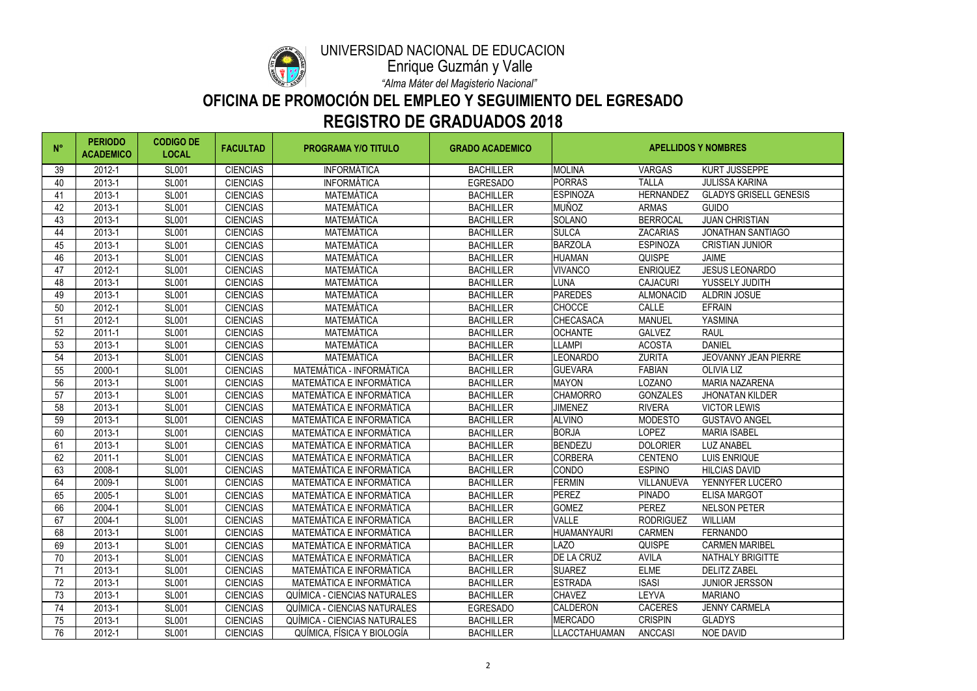

#### UNIVERSIDAD NACIONAL DE EDUCACIÓN

# **OFICINA DE PROMOCIÓN DEL EMPLEO Y SEGUIMIENTO DEL EGRESADO REGISTRO DE GRADUADOS 2018**

*"Alma Máter del Magisterio Nacional"*

Enrique Guzmán y Valle

| $N^{\circ}$ | <b>PERIODO</b><br><b>ACADEMICO</b> | <b>CODIGO DE</b><br><b>LOCAL</b> | <b>FACULTAD</b> | <b>PROGRAMA Y/O TITULO</b>          | <b>GRADO ACADEMICO</b> | <b>APELLIDOS Y NOMBRES</b> |                  |                               |
|-------------|------------------------------------|----------------------------------|-----------------|-------------------------------------|------------------------|----------------------------|------------------|-------------------------------|
| 39          | 2012-1                             | <b>SL001</b>                     | <b>CIENCIAS</b> | <b>INFORMÁTICA</b>                  | <b>BACHILLER</b>       | <b>MOLINA</b>              | <b>VARGAS</b>    | <b>KURT JUSSEPPE</b>          |
| 40          | 2013-1                             | <b>SL001</b>                     | <b>CIENCIAS</b> | <b>INFORMÁTICA</b>                  | <b>EGRESADO</b>        | <b>PORRAS</b>              | <b>TALLA</b>     | <b>JULISSA KARINA</b>         |
| 41          | 2013-1                             | <b>SL001</b>                     | <b>CIENCIAS</b> | <b>MATEMÁTICA</b>                   | <b>BACHILLER</b>       | <b>ESPINOZA</b>            | <b>HERNANDEZ</b> | <b>GLADYS GRISELL GENESIS</b> |
| 42          | 2013-1                             | <b>SL001</b>                     | <b>CIENCIAS</b> | <b>MATEMÁTICA</b>                   | <b>BACHILLER</b>       | <b>MUÑOZ</b>               | <b>ARMAS</b>     | <b>GUIDO</b>                  |
| 43          | 2013-1                             | <b>SL001</b>                     | <b>CIENCIAS</b> | <b>MATEMÁTICA</b>                   | <b>BACHILLER</b>       | <b>SOLANO</b>              | <b>BERROCAL</b>  | <b>JUAN CHRISTIAN</b>         |
| 44          | 2013-1                             | <b>SL001</b>                     | <b>CIENCIAS</b> | <b>MATEMÁTICA</b>                   | <b>BACHILLER</b>       | <b>SULCA</b>               | <b>ZACARIAS</b>  | <b>JONATHAN SANTIAGO</b>      |
| 45          | 2013-1                             | <b>SL001</b>                     | <b>CIENCIAS</b> | <b>MATEMÁTICA</b>                   | <b>BACHILLER</b>       | <b>BARZOLA</b>             | <b>ESPINOZA</b>  | <b>CRISTIAN JUNIOR</b>        |
| 46          | 2013-1                             | <b>SL001</b>                     | <b>CIENCIAS</b> | <b>MATEMÁTICA</b>                   | <b>BACHILLER</b>       | <b>HUAMAN</b>              | <b>QUISPE</b>    | <b>JAIME</b>                  |
| 47          | 2012-1                             | <b>SL001</b>                     | <b>CIENCIAS</b> | <b>MATEMÁTICA</b>                   | <b>BACHILLER</b>       | <b>VIVANCO</b>             | <b>ENRIQUEZ</b>  | <b>JESUS LEONARDO</b>         |
| 48          | 2013-1                             | <b>SL001</b>                     | <b>CIENCIAS</b> | <b>MATEMÁTICA</b>                   | <b>BACHILLER</b>       | <b>LUNA</b>                | <b>CAJACURI</b>  | YUSSELY JUDITH                |
| 49          | 2013-1                             | <b>SL001</b>                     | <b>CIENCIAS</b> | <b>MATEMÁTICA</b>                   | <b>BACHILLER</b>       | <b>PAREDES</b>             | <b>ALMONACID</b> | <b>ALDRIN JOSUE</b>           |
| 50          | 2012-1                             | <b>SL001</b>                     | <b>CIENCIAS</b> | <b>MATEMÁTICA</b>                   | <b>BACHILLER</b>       | <b>CHOCCE</b>              | <b>CALLE</b>     | <b>EFRAIN</b>                 |
| 51          | 2012-1                             | <b>SL001</b>                     | <b>CIENCIAS</b> | <b>MATEMÁTICA</b>                   | <b>BACHILLER</b>       | <b>CHECASACA</b>           | <b>MANUEL</b>    | YASMINA                       |
| 52          | 2011-1                             | <b>SL001</b>                     | <b>CIENCIAS</b> | <b>MATEMÁTICA</b>                   | <b>BACHILLER</b>       | <b>OCHANTE</b>             | <b>GALVEZ</b>    | <b>RAUL</b>                   |
| 53          | 2013-1                             | <b>SL001</b>                     | <b>CIENCIAS</b> | <b>MATEMÁTICA</b>                   | <b>BACHILLER</b>       | <b>LLAMPI</b>              | <b>ACOSTA</b>    | <b>DANIEL</b>                 |
| 54          | 2013-1                             | <b>SL001</b>                     | <b>CIENCIAS</b> | <b>MATEMÁTICA</b>                   | <b>BACHILLER</b>       | LEONARDO                   | <b>ZURITA</b>    | <b>JEOVANNY JEAN PIERRE</b>   |
| 55          | 2000-1                             | <b>SL001</b>                     | <b>CIENCIAS</b> | <b>MATEMÁTICA - INFORMÁTICA</b>     | <b>BACHILLER</b>       | <b>GUEVARA</b>             | <b>FABIAN</b>    | <b>OLIVIA LIZ</b>             |
| 56          | 2013-1                             | <b>SL001</b>                     | <b>CIENCIAS</b> | MATEMÁTICA E INFORMÁTICA            | <b>BACHILLER</b>       | <b>MAYON</b>               | <b>LOZANO</b>    | <b>MARIA NAZARENA</b>         |
| 57          | 2013-1                             | <b>SL001</b>                     | <b>CIENCIAS</b> | MATEMÁTICA E INFORMÁTICA            | <b>BACHILLER</b>       | <b>CHAMORRO</b>            | <b>GONZALES</b>  | <b>JHONATAN KILDER</b>        |
| 58          | 2013-1                             | <b>SL001</b>                     | <b>CIENCIAS</b> | <b>MATEMÁTICA E INFORMÁTICA</b>     | <b>BACHILLER</b>       | <b>JIMENEZ</b>             | <b>RIVERA</b>    | <b>VICTOR LEWIS</b>           |
| 59          | 2013-1                             | <b>SL001</b>                     | <b>CIENCIAS</b> | <b>MATEMÁTICA E INFORMÁTICA</b>     | <b>BACHILLER</b>       | <b>ALVINO</b>              | <b>MODESTO</b>   | <b>GUSTAVO ANGEL</b>          |
| 60          | 2013-1                             | <b>SL001</b>                     | <b>CIENCIAS</b> | MATEMÁTICA E INFORMÁTICA            | <b>BACHILLER</b>       | <b>BORJA</b>               | <b>LOPEZ</b>     | <b>MARIA ISABEL</b>           |
| 61          | 2013-1                             | <b>SL001</b>                     | <b>CIENCIAS</b> | MATEMÁTICA E INFORMÁTICA            | <b>BACHILLER</b>       | <b>BENDEZU</b>             | <b>DOLORIER</b>  | <b>LUZ ANABEL</b>             |
| 62          | 2011-1                             | <b>SL001</b>                     | <b>CIENCIAS</b> | MATEMÁTICA E INFORMÁTICA            | <b>BACHILLER</b>       | <b>CORBERA</b>             | <b>CENTENO</b>   | <b>LUIS ENRIQUE</b>           |
| 63          | 2008-1                             | <b>SL001</b>                     | <b>CIENCIAS</b> | <b>MATEMÁTICA E INFORMÁTICA</b>     | <b>BACHILLER</b>       | CONDO                      | <b>ESPINO</b>    | <b>HILCIAS DAVID</b>          |
| 64          | 2009-1                             | <b>SL001</b>                     | <b>CIENCIAS</b> | <b>MATEMÁTICA E INFORMÁTICA</b>     | <b>BACHILLER</b>       | <b>FERMIN</b>              | VILLANUEVA       | YENNYFER LUCERO               |
| 65          | 2005-1                             | <b>SL001</b>                     | <b>CIENCIAS</b> | MATEMÁTICA E INFORMÁTICA            | <b>BACHILLER</b>       | <b>PEREZ</b>               | <b>PINADO</b>    | <b>ELISA MARGOT</b>           |
| 66          | 2004-1                             | <b>SL001</b>                     | <b>CIENCIAS</b> | <b>MATEMÁTICA E INFORMÁTICA</b>     | <b>BACHILLER</b>       | <b>GOMEZ</b>               | <b>PEREZ</b>     | <b>NELSON PETER</b>           |
| 67          | 2004-1                             | <b>SL001</b>                     | <b>CIENCIAS</b> | MATEMÁTICA E INFORMÁTICA            | <b>BACHILLER</b>       | <b>VALLE</b>               | <b>RODRIGUEZ</b> | <b>WILLIAM</b>                |
| 68          | 2013-1                             | <b>SL001</b>                     | <b>CIENCIAS</b> | MATEMÁTICA E INFORMÁTICA            | <b>BACHILLER</b>       | <b>HUAMANYAURI</b>         | <b>CARMEN</b>    | <b>FERNANDO</b>               |
| 69          | 2013-1                             | <b>SL001</b>                     | <b>CIENCIAS</b> | MATEMÁTICA E INFORMÁTICA            | <b>BACHILLER</b>       | LAZO                       | <b>QUISPE</b>    | <b>CARMEN MARIBEL</b>         |
| 70          | 2013-1                             | <b>SL001</b>                     | <b>CIENCIAS</b> | MATEMÁTICA E INFORMÁTICA            | <b>BACHILLER</b>       | DE LA CRUZ                 | <b>AVILA</b>     | <b>NATHALY BRIGITTE</b>       |
| 71          | 2013-1                             | <b>SL001</b>                     | <b>CIENCIAS</b> | MATEMÁTICA E INFORMÁTICA            | <b>BACHILLER</b>       | <b>SUAREZ</b>              | <b>ELME</b>      | <b>DELITZ ZABEL</b>           |
| 72          | 2013-1                             | <b>SL001</b>                     | <b>CIENCIAS</b> | MATEMÁTICA E INFORMÁTICA            | <b>BACHILLER</b>       | <b>ESTRADA</b>             | <b>ISASI</b>     | <b>JUNIOR JERSSON</b>         |
| 73          | 2013-1                             | <b>SL001</b>                     | <b>CIENCIAS</b> | QUÍMICA - CIENCIAS NATURALES        | <b>BACHILLER</b>       | <b>CHAVEZ</b>              | <b>LEYVA</b>     | <b>MARIANO</b>                |
| 74          | 2013-1                             | <b>SL001</b>                     | <b>CIENCIAS</b> | <b>QUÍMICA - CIENCIAS NATURALES</b> | <b>EGRESADO</b>        | <b>CALDERON</b>            | <b>CACERES</b>   | <b>JENNY CARMELA</b>          |
| 75          | 2013-1                             | <b>SL001</b>                     | <b>CIENCIAS</b> | <b>QUÍMICA - CIENCIAS NATURALES</b> | <b>BACHILLER</b>       | <b>MERCADO</b>             | <b>CRISPIN</b>   | <b>GLADYS</b>                 |
| 76          | 2012-1                             | <b>SL001</b>                     | <b>CIENCIAS</b> | QUÍMICA, FÍSICA Y BIOLOGÍA          | <b>BACHILLER</b>       | LLACCTAHUAMAN              | <b>ANCCASI</b>   | <b>NOE DAVID</b>              |